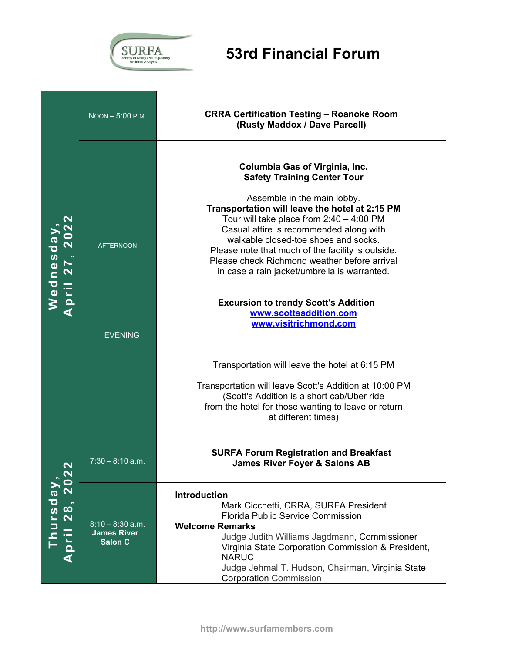

|                                                                                                                             | NOON-5:00 P.M.                                             | <b>CRRA Certification Testing - Roanoke Room</b><br>(Rusty Maddox / Dave Parcell)                                                                                                                                                                                                                                                                                                                                                                                                                                                                                                                                                                                                                                                                                                             |
|-----------------------------------------------------------------------------------------------------------------------------|------------------------------------------------------------|-----------------------------------------------------------------------------------------------------------------------------------------------------------------------------------------------------------------------------------------------------------------------------------------------------------------------------------------------------------------------------------------------------------------------------------------------------------------------------------------------------------------------------------------------------------------------------------------------------------------------------------------------------------------------------------------------------------------------------------------------------------------------------------------------|
| Wednesday<br>April 27, 201                                                                                                  | <b>AFTERNOON</b><br><b>EVENING</b>                         | Columbia Gas of Virginia, Inc.<br><b>Safety Training Center Tour</b><br>Assemble in the main lobby.<br>Transportation will leave the hotel at 2:15 PM<br>Tour will take place from $2:40 - 4:00 \text{ PM}$<br>Casual attire is recommended along with<br>walkable closed-toe shoes and socks.<br>Please note that much of the facility is outside.<br>Please check Richmond weather before arrival<br>in case a rain jacket/umbrella is warranted.<br><b>Excursion to trendy Scott's Addition</b><br>www.scottsaddition.com<br>www.visitrichmond.com<br>Transportation will leave the hotel at 6:15 PM<br>Transportation will leave Scott's Addition at 10:00 PM<br>(Scott's Addition is a short cab/Uber ride<br>from the hotel for those wanting to leave or return<br>at different times) |
| $\boldsymbol{\mathsf{N}}$<br>hursda<br>$\mathbf{\Omega}$<br>$\infty$<br>$\boldsymbol{\mathsf{N}}$<br>$\mathbf{\Omega}$<br>⋖ | $7:30 - 8:10$ a.m.                                         | <b>SURFA Forum Registration and Breakfast</b><br><b>James River Foyer &amp; Salons AB</b>                                                                                                                                                                                                                                                                                                                                                                                                                                                                                                                                                                                                                                                                                                     |
|                                                                                                                             | $8:10 - 8:30$ a.m.<br><b>James River</b><br><b>Salon C</b> | Introduction<br>Mark Cicchetti, CRRA, SURFA President<br><b>Florida Public Service Commission</b><br><b>Welcome Remarks</b><br>Judge Judith Williams Jagdmann, Commissioner<br>Virginia State Corporation Commission & President,<br><b>NARUC</b><br>Judge Jehmal T. Hudson, Chairman, Virginia State<br><b>Corporation Commission</b>                                                                                                                                                                                                                                                                                                                                                                                                                                                        |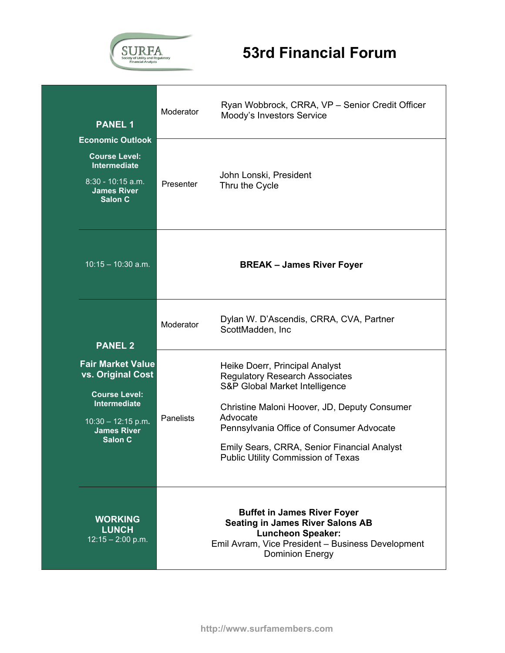

| <b>PANEL 1</b>                                                                                                                                            | Moderator | Ryan Wobbrock, CRRA, VP - Senior Credit Officer<br>Moody's Investors Service                                                                                                                                                                                                                           |
|-----------------------------------------------------------------------------------------------------------------------------------------------------------|-----------|--------------------------------------------------------------------------------------------------------------------------------------------------------------------------------------------------------------------------------------------------------------------------------------------------------|
| <b>Economic Outlook</b><br><b>Course Level:</b><br>Intermediate<br>8:30 - 10:15 a.m.<br><b>James River</b><br>Salon C                                     | Presenter | John Lonski, President<br>Thru the Cycle                                                                                                                                                                                                                                                               |
| $10:15 - 10:30$ a.m.                                                                                                                                      |           | <b>BREAK - James River Foyer</b>                                                                                                                                                                                                                                                                       |
| <b>PANEL 2</b>                                                                                                                                            | Moderator | Dylan W. D'Ascendis, CRRA, CVA, Partner<br>ScottMadden, Inc                                                                                                                                                                                                                                            |
| <b>Fair Market Value</b><br>vs. Original Cost<br><b>Course Level:</b><br>Intermediate<br>$10:30 - 12:15$ p.m.<br><b>James River</b><br>Salon <sub>C</sub> | Panelists | Heike Doerr, Principal Analyst<br><b>Regulatory Research Associates</b><br>S&P Global Market Intelligence<br>Christine Maloni Hoover, JD, Deputy Consumer<br>Advocate<br>Pennsylvania Office of Consumer Advocate<br>Emily Sears, CRRA, Senior Financial Analyst<br>Public Utility Commission of Texas |
| <b>WORKING</b><br><b>LUNCH</b><br>$12:15 - 2:00$ p.m.                                                                                                     |           | <b>Buffet in James River Foyer</b><br><b>Seating in James River Salons AB</b><br><b>Luncheon Speaker:</b><br>Emil Avram, Vice President - Business Development<br><b>Dominion Energy</b>                                                                                                               |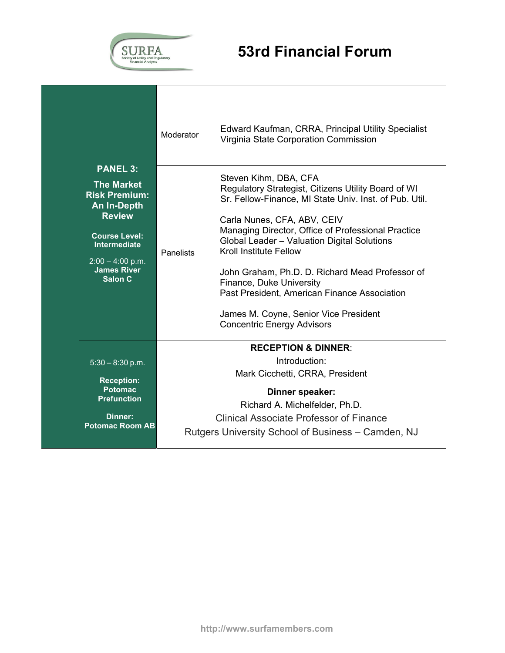

|                                                                                                                                                                                                    | Moderator        | Edward Kaufman, CRRA, Principal Utility Specialist<br>Virginia State Corporation Commission                                                                                                                                                                                                                                                                                                                                                                                                                              |
|----------------------------------------------------------------------------------------------------------------------------------------------------------------------------------------------------|------------------|--------------------------------------------------------------------------------------------------------------------------------------------------------------------------------------------------------------------------------------------------------------------------------------------------------------------------------------------------------------------------------------------------------------------------------------------------------------------------------------------------------------------------|
| <b>PANEL 3:</b><br><b>The Market</b><br><b>Risk Premium:</b><br><b>An In-Depth</b><br><b>Review</b><br><b>Course Level:</b><br>Intermediate<br>$2:00 - 4:00$ p.m.<br><b>James River</b><br>Salon C | <b>Panelists</b> | Steven Kihm, DBA, CFA<br>Regulatory Strategist, Citizens Utility Board of WI<br>Sr. Fellow-Finance, MI State Univ. Inst. of Pub. Util.<br>Carla Nunes, CFA, ABV, CEIV<br>Managing Director, Office of Professional Practice<br>Global Leader - Valuation Digital Solutions<br><b>Kroll Institute Fellow</b><br>John Graham, Ph.D. D. Richard Mead Professor of<br>Finance, Duke University<br>Past President, American Finance Association<br>James M. Coyne, Senior Vice President<br><b>Concentric Energy Advisors</b> |
| $5:30 - 8:30$ p.m.<br><b>Reception:</b><br><b>Potomac</b><br><b>Prefunction</b><br>Dinner:<br><b>Potomac Room AB</b>                                                                               |                  | <b>RECEPTION &amp; DINNER:</b><br>Introduction:<br>Mark Cicchetti, CRRA, President<br>Dinner speaker:<br>Richard A. Michelfelder, Ph.D.<br>Clinical Associate Professor of Finance<br>Rutgers University School of Business – Camden, NJ                                                                                                                                                                                                                                                                                 |